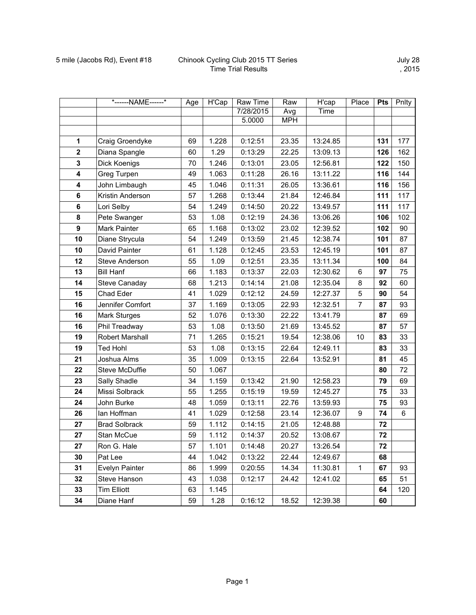|                         | *------NAME------*    | Age | H'Cap | <b>Raw Time</b> | Raw        | H'cap    | Place          | <b>Pts</b> | Pnlty |
|-------------------------|-----------------------|-----|-------|-----------------|------------|----------|----------------|------------|-------|
|                         |                       |     |       | 7/28/2015       | Avg        | Time     |                |            |       |
|                         |                       |     |       | 5.0000          | <b>MPH</b> |          |                |            |       |
|                         |                       |     |       |                 |            |          |                |            |       |
| 1                       | Craig Groendyke       | 69  | 1.228 | 0:12:51         | 23.35      | 13:24.85 |                | 131        | 177   |
| $\overline{\mathbf{2}}$ | Diana Spangle         | 60  | 1.29  | 0:13:29         | 22.25      | 13:09.13 |                | 126        | 162   |
| 3                       | Dick Koenigs          | 70  | 1.246 | 0:13:01         | 23.05      | 12:56.81 |                | 122        | 150   |
| 4                       | Greg Turpen           | 49  | 1.063 | 0:11:28         | 26.16      | 13:11.22 |                | 116        | 144   |
| 4                       | John Limbaugh         | 45  | 1.046 | 0:11:31         | 26.05      | 13:36.61 |                | 116        | 156   |
| 6                       | Kristin Anderson      | 57  | 1.268 | 0:13:44         | 21.84      | 12:46.84 |                | 111        | 117   |
| 6                       | Lori Selby            | 54  | 1.249 | 0:14:50         | 20.22      | 13:49.57 |                | 111        | 117   |
| 8                       | Pete Swanger          | 53  | 1.08  | 0:12:19         | 24.36      | 13:06.26 |                | 106        | 102   |
| 9                       | Mark Painter          | 65  | 1.168 | 0:13:02         | 23.02      | 12:39.52 |                | 102        | 90    |
| 10                      | Diane Strycula        | 54  | 1.249 | 0:13:59         | 21.45      | 12:38.74 |                | 101        | 87    |
| 10                      | David Painter         | 61  | 1.128 | 0:12:45         | 23.53      | 12:45.19 |                | 101        | 87    |
| 12                      | <b>Steve Anderson</b> | 55  | 1.09  | 0:12:51         | 23.35      | 13:11.34 |                | 100        | 84    |
| 13                      | <b>Bill Hanf</b>      | 66  | 1.183 | 0:13:37         | 22.03      | 12:30.62 | 6              | 97         | 75    |
| 14                      | Steve Canaday         | 68  | 1.213 | 0:14:14         | 21.08      | 12:35.04 | 8              | 92         | 60    |
| 15                      | Chad Eder             | 41  | 1.029 | 0:12:12         | 24.59      | 12:27.37 | 5              | 90         | 54    |
| 16                      | Jennifer Comfort      | 37  | 1.169 | 0:13:05         | 22.93      | 12:32.51 | $\overline{7}$ | 87         | 93    |
| 16                      | <b>Mark Sturges</b>   | 52  | 1.076 | 0:13:30         | 22.22      | 13:41.79 |                | 87         | 69    |
| 16                      | Phil Treadway         | 53  | 1.08  | 0:13:50         | 21.69      | 13:45.52 |                | 87         | 57    |
| 19                      | Robert Marshall       | 71  | 1.265 | 0:15:21         | 19.54      | 12:38.06 | 10             | 83         | 33    |
| 19                      | <b>Ted Hohl</b>       | 53  | 1.08  | 0:13:15         | 22.64      | 12:49.11 |                | 83         | 33    |
| 21                      | Joshua Alms           | 35  | 1.009 | 0:13:15         | 22.64      | 13:52.91 |                | 81         | 45    |
| 22                      | Steve McDuffie        | 50  | 1.067 |                 |            |          |                | 80         | 72    |
| 23                      | Sally Shadle          | 34  | 1.159 | 0:13:42         | 21.90      | 12:58.23 |                | 79         | 69    |
| 24                      | Missi Solbrack        | 55  | 1.255 | 0:15:19         | 19.59      | 12:45.27 |                | 75         | 33    |
| 24                      | John Burke            | 48  | 1.059 | 0:13:11         | 22.76      | 13:59.93 |                | 75         | 93    |
| 26                      | lan Hoffman           | 41  | 1.029 | 0:12:58         | 23.14      | 12:36.07 | 9              | 74         | 6     |
| 27                      | <b>Brad Solbrack</b>  | 59  | 1.112 | 0:14:15         | 21.05      | 12:48.88 |                | 72         |       |
| 27                      | Stan McCue            | 59  | 1.112 | 0:14:37         | 20.52      | 13:08.67 |                | 72         |       |
| 27                      | Ron G. Hale           | 57  | 1.101 | 0:14:48         | 20.27      | 13:26.54 |                | 72         |       |
| 30                      | Pat Lee               | 44  | 1.042 | 0:13:22         | 22.44      | 12:49.67 |                | 68         |       |
| 31                      | Evelyn Painter        | 86  | 1.999 | 0:20:55         | 14.34      | 11:30.81 | $\mathbf{1}$   | 67         | 93    |
| 32                      | Steve Hanson          | 43  | 1.038 | 0:12:17         | 24.42      | 12:41.02 |                | 65         | 51    |
| 33                      | <b>Tim Elliott</b>    | 63  | 1.145 |                 |            |          |                | 64         | 120   |
| 34                      | Diane Hanf            | 59  | 1.28  | 0:16:12         | 18.52      | 12:39.38 |                | 60         |       |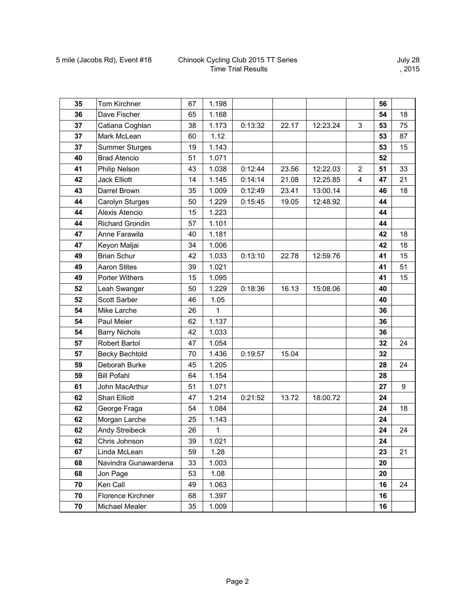| 35 | Tom Kirchner           | 67 | 1.198 |         |       |          |                         | 56 |    |
|----|------------------------|----|-------|---------|-------|----------|-------------------------|----|----|
| 36 | Dave Fischer           | 65 | 1.168 |         |       |          |                         | 54 | 18 |
| 37 | Catiana Coghlan        | 38 | 1.173 | 0:13:32 | 22.17 | 12:23.24 | 3                       | 53 | 75 |
| 37 | Mark McLean            | 60 | 1.12  |         |       |          |                         | 53 | 87 |
| 37 | <b>Summer Sturges</b>  | 19 | 1.143 |         |       |          |                         | 53 | 15 |
| 40 | <b>Brad Atencio</b>    | 51 | 1.071 |         |       |          |                         | 52 |    |
| 41 | Philip Nelson          | 43 | 1.038 | 0:12:44 | 23.56 | 12:22.03 | $\overline{c}$          | 51 | 33 |
| 42 | <b>Jack Elliott</b>    | 14 | 1.145 | 0:14:14 | 21.08 | 12:25.85 | $\overline{\mathbf{4}}$ | 47 | 21 |
| 43 | Darrel Brown           | 35 | 1.009 | 0:12:49 | 23.41 | 13:00.14 |                         | 46 | 18 |
| 44 | Carolyn Sturges        | 50 | 1.229 | 0:15:45 | 19.05 | 12:48.92 |                         | 44 |    |
| 44 | Alexis Atencio         | 15 | 1.223 |         |       |          |                         | 44 |    |
| 44 | <b>Richard Grondin</b> | 57 | 1.101 |         |       |          |                         | 44 |    |
| 47 | Anne Farawila          | 40 | 1.181 |         |       |          |                         | 42 | 18 |
| 47 | Keyon Maljai           | 34 | 1.006 |         |       |          |                         | 42 | 18 |
| 49 | <b>Brian Schur</b>     | 42 | 1.033 | 0:13:10 | 22.78 | 12:59.76 |                         | 41 | 15 |
| 49 | <b>Aaron Stites</b>    | 39 | 1.021 |         |       |          |                         | 41 | 51 |
| 49 | Porter Withers         | 15 | 1.095 |         |       |          |                         | 41 | 15 |
| 52 | Leah Swanger           | 50 | 1.229 | 0:18:36 | 16.13 | 15:08.06 |                         | 40 |    |
| 52 | Scott Sarber           | 46 | 1.05  |         |       |          |                         | 40 |    |
| 54 | Mike Larche            | 26 | 1     |         |       |          |                         | 36 |    |
| 54 | Paul Meier             | 62 | 1.137 |         |       |          |                         | 36 |    |
| 54 | <b>Barry Nichols</b>   | 42 | 1.033 |         |       |          |                         | 36 |    |
| 57 | Robert Bartol          | 47 | 1.054 |         |       |          |                         | 32 | 24 |
| 57 | <b>Becky Bechtold</b>  | 70 | 1.436 | 0:19:57 | 15.04 |          |                         | 32 |    |
| 59 | Deborah Burke          | 45 | 1.205 |         |       |          |                         | 28 | 24 |
| 59 | <b>Bill Pofahl</b>     | 64 | 1.154 |         |       |          |                         | 28 |    |
| 61 | John MacArthur         | 51 | 1.071 |         |       |          |                         | 27 | 9  |
| 62 | Shari Elliott          | 47 | 1.214 | 0:21:52 | 13.72 | 18:00.72 |                         | 24 |    |
| 62 | George Fraga           | 54 | 1.084 |         |       |          |                         | 24 | 18 |
| 62 | Morgan Larche          | 25 | 1.143 |         |       |          |                         | 24 |    |
| 62 | Andy Streibeck         | 26 | 1     |         |       |          |                         | 24 | 24 |
| 62 | Chris Johnson          | 39 | 1.021 |         |       |          |                         | 24 |    |
| 67 | Linda McLean           | 59 | 1.28  |         |       |          |                         | 23 | 21 |
| 68 | Navindra Gunawardena   | 33 | 1.003 |         |       |          |                         | 20 |    |
| 68 | Jon Page               | 53 | 1.08  |         |       |          |                         | 20 |    |
| 70 | Ken Call               | 49 | 1.063 |         |       |          |                         | 16 | 24 |
| 70 | Florence Kirchner      | 68 | 1.397 |         |       |          |                         | 16 |    |
| 70 | Michael Mealer         | 35 | 1.009 |         |       |          |                         | 16 |    |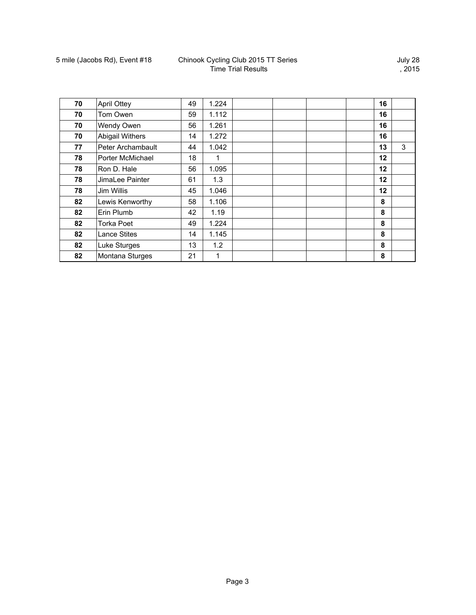July 28 , 2015

| 70 | <b>April Ottey</b>     | 49 | 1.224 |  | 16 |   |
|----|------------------------|----|-------|--|----|---|
| 70 | Tom Owen               | 59 | 1.112 |  | 16 |   |
| 70 | Wendy Owen             | 56 | 1.261 |  | 16 |   |
| 70 | <b>Abigail Withers</b> | 14 | 1.272 |  | 16 |   |
| 77 | Peter Archambault      | 44 | 1.042 |  | 13 | 3 |
| 78 | Porter McMichael       | 18 | 1     |  | 12 |   |
| 78 | Ron D. Hale            | 56 | 1.095 |  | 12 |   |
| 78 | JimaLee Painter        | 61 | 1.3   |  | 12 |   |
| 78 | Jim Willis             | 45 | 1.046 |  | 12 |   |
| 82 | Lewis Kenworthy        | 58 | 1.106 |  | 8  |   |
| 82 | Erin Plumb             | 42 | 1.19  |  | 8  |   |
| 82 | Torka Poet             | 49 | 1.224 |  | 8  |   |
| 82 | <b>Lance Stites</b>    | 14 | 1.145 |  | 8  |   |
| 82 | Luke Sturges           | 13 | 1.2   |  | 8  |   |
| 82 | Montana Sturges        | 21 | 1     |  | 8  |   |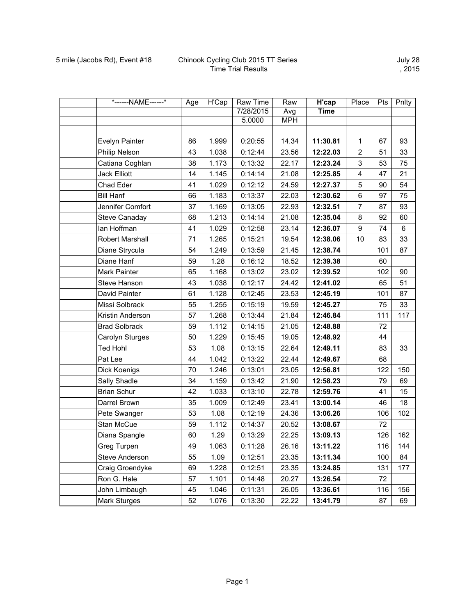|                      | *------NAME------*<br>Age | H'Cap | <b>Raw Time</b> | Raw        | H'cap       | Place          | Pts | Pnlty |
|----------------------|---------------------------|-------|-----------------|------------|-------------|----------------|-----|-------|
|                      |                           |       | 7/28/2015       | Avg        | <b>Time</b> |                |     |       |
|                      |                           |       | 5.0000          | <b>MPH</b> |             |                |     |       |
|                      |                           |       |                 |            |             |                |     |       |
| Evelyn Painter       | 86                        | 1.999 | 0:20:55         | 14.34      | 11:30.81    | 1              | 67  | 93    |
| Philip Nelson        | 43                        | 1.038 | 0:12:44         | 23.56      | 12:22.03    | $\overline{2}$ | 51  | 33    |
| Catiana Coghlan      | 38                        | 1.173 | 0:13:32         | 22.17      | 12:23.24    | 3              | 53  | 75    |
| <b>Jack Elliott</b>  | 14                        | 1.145 | 0:14:14         | 21.08      | 12:25.85    | 4              | 47  | 21    |
| Chad Eder            | 41                        | 1.029 | 0:12:12         | 24.59      | 12:27.37    | 5              | 90  | 54    |
| <b>Bill Hanf</b>     | 66                        | 1.183 | 0:13:37         | 22.03      | 12:30.62    | 6              | 97  | 75    |
| Jennifer Comfort     | 37                        | 1.169 | 0:13:05         | 22.93      | 12:32.51    | $\overline{7}$ | 87  | 93    |
| <b>Steve Canaday</b> | 68                        | 1.213 | 0:14:14         | 21.08      | 12:35.04    | 8              | 92  | 60    |
| lan Hoffman          | 41                        | 1.029 | 0:12:58         | 23.14      | 12:36.07    | 9              | 74  | 6     |
| Robert Marshall      | 71                        | 1.265 | 0:15:21         | 19.54      | 12:38.06    | 10             | 83  | 33    |
| Diane Strycula       | 54                        | 1.249 | 0:13:59         | 21.45      | 12:38.74    |                | 101 | 87    |
| Diane Hanf           | 59                        | 1.28  | 0:16:12         | 18.52      | 12:39.38    |                | 60  |       |
| Mark Painter         | 65                        | 1.168 | 0:13:02         | 23.02      | 12:39.52    |                | 102 | 90    |
| Steve Hanson         | 43                        | 1.038 | 0:12:17         | 24.42      | 12:41.02    |                | 65  | 51    |
| David Painter        | 61                        | 1.128 | 0:12:45         | 23.53      | 12:45.19    |                | 101 | 87    |
| Missi Solbrack       | 55                        | 1.255 | 0:15:19         | 19.59      | 12:45.27    |                | 75  | 33    |
| Kristin Anderson     | 57                        | 1.268 | 0:13:44         | 21.84      | 12:46.84    |                | 111 | 117   |
| <b>Brad Solbrack</b> | 59                        | 1.112 | 0:14:15         | 21.05      | 12:48.88    |                | 72  |       |
| Carolyn Sturges      | 50                        | 1.229 | 0:15:45         | 19.05      | 12:48.92    |                | 44  |       |
| Ted Hohl             | 53                        | 1.08  | 0:13:15         | 22.64      | 12:49.11    |                | 83  | 33    |
| Pat Lee              | 44                        | 1.042 | 0:13:22         | 22.44      | 12:49.67    |                | 68  |       |
| Dick Koenigs         | 70                        | 1.246 | 0:13:01         | 23.05      | 12:56.81    |                | 122 | 150   |
| Sally Shadle         | 34                        | 1.159 | 0:13:42         | 21.90      | 12:58.23    |                | 79  | 69    |
| <b>Brian Schur</b>   | 42                        | 1.033 | 0:13:10         | 22.78      | 12:59.76    |                | 41  | 15    |
| Darrel Brown         | 35                        | 1.009 | 0:12:49         | 23.41      | 13:00.14    |                | 46  | 18    |
| Pete Swanger         | 53                        | 1.08  | 0:12:19         | 24.36      | 13:06.26    |                | 106 | 102   |
| Stan McCue           | 59                        | 1.112 | 0:14:37         | 20.52      | 13:08.67    |                | 72  |       |
| Diana Spangle        | 60                        | 1.29  | 0:13:29         | 22.25      | 13:09.13    |                | 126 | 162   |
| Greg Turpen          | 49                        | 1.063 | 0:11:28         | 26.16      | 13:11.22    |                | 116 | 144   |
| Steve Anderson       | 55                        | 1.09  | 0:12:51         | 23.35      | 13:11.34    |                | 100 | 84    |
| Craig Groendyke      | 69                        | 1.228 | 0:12:51         | 23.35      | 13:24.85    |                | 131 | 177   |
| Ron G. Hale          | 57                        | 1.101 | 0:14:48         | 20.27      | 13:26.54    |                | 72  |       |
| John Limbaugh        | 45                        | 1.046 | 0:11:31         | 26.05      | 13:36.61    |                | 116 | 156   |
| <b>Mark Sturges</b>  | 52                        | 1.076 | 0:13:30         | 22.22      | 13:41.79    |                | 87  | 69    |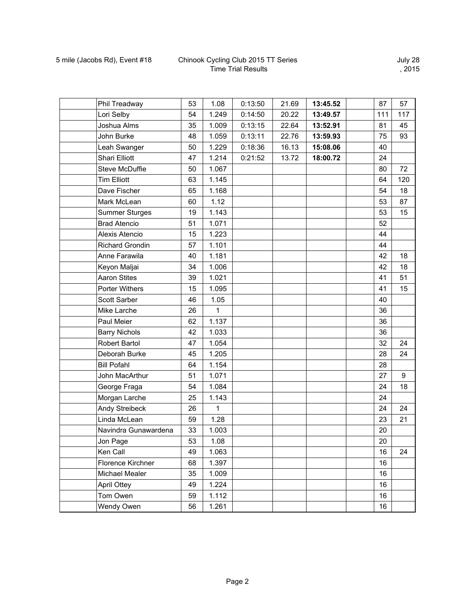| Phil Treadway          | 53 | 1.08           | 0:13:50 | 21.69 | 13:45.52 | 87  | 57  |
|------------------------|----|----------------|---------|-------|----------|-----|-----|
| Lori Selby             | 54 | 1.249          | 0:14:50 | 20.22 | 13:49.57 | 111 | 117 |
| Joshua Alms            | 35 | 1.009          | 0:13:15 | 22.64 | 13:52.91 | 81  | 45  |
| John Burke             | 48 | 1.059          | 0:13:11 | 22.76 | 13:59.93 | 75  | 93  |
| Leah Swanger           | 50 | 1.229          | 0:18:36 | 16.13 | 15:08.06 | 40  |     |
| <b>Shari Elliott</b>   | 47 | 1.214          | 0:21:52 | 13.72 | 18:00.72 | 24  |     |
| Steve McDuffie         | 50 | 1.067          |         |       |          | 80  | 72  |
| <b>Tim Elliott</b>     | 63 | 1.145          |         |       |          | 64  | 120 |
| Dave Fischer           | 65 | 1.168          |         |       |          | 54  | 18  |
| Mark McLean            | 60 | 1.12           |         |       |          | 53  | 87  |
| <b>Summer Sturges</b>  | 19 | 1.143          |         |       |          | 53  | 15  |
| <b>Brad Atencio</b>    | 51 | 1.071          |         |       |          | 52  |     |
| Alexis Atencio         | 15 | 1.223          |         |       |          | 44  |     |
| <b>Richard Grondin</b> | 57 | 1.101          |         |       |          | 44  |     |
| Anne Farawila          | 40 | 1.181          |         |       |          | 42  | 18  |
| Keyon Maljai           | 34 | 1.006          |         |       |          | 42  | 18  |
| <b>Aaron Stites</b>    | 39 | 1.021          |         |       |          | 41  | 51  |
| <b>Porter Withers</b>  | 15 | 1.095          |         |       |          | 41  | 15  |
| Scott Sarber           | 46 | 1.05           |         |       |          | 40  |     |
| Mike Larche            | 26 | $\overline{1}$ |         |       |          | 36  |     |
| Paul Meier             | 62 | 1.137          |         |       |          | 36  |     |
| <b>Barry Nichols</b>   | 42 | 1.033          |         |       |          | 36  |     |
| Robert Bartol          | 47 | 1.054          |         |       |          | 32  | 24  |
| Deborah Burke          | 45 | 1.205          |         |       |          | 28  | 24  |
| <b>Bill Pofahl</b>     | 64 | 1.154          |         |       |          | 28  |     |
| John MacArthur         | 51 | 1.071          |         |       |          | 27  | 9   |
| George Fraga           | 54 | 1.084          |         |       |          | 24  | 18  |
| Morgan Larche          | 25 | 1.143          |         |       |          | 24  |     |
| Andy Streibeck         | 26 | 1              |         |       |          | 24  | 24  |
| Linda McLean           | 59 | 1.28           |         |       |          | 23  | 21  |
| Navindra Gunawardena   | 33 | 1.003          |         |       |          | 20  |     |
| Jon Page               | 53 | 1.08           |         |       |          | 20  |     |
| Ken Call               | 49 | 1.063          |         |       |          | 16  | 24  |
| Florence Kirchner      | 68 | 1.397          |         |       |          | 16  |     |
| Michael Mealer         | 35 | 1.009          |         |       |          | 16  |     |
| <b>April Ottey</b>     | 49 | 1.224          |         |       |          | 16  |     |
| Tom Owen               | 59 | 1.112          |         |       |          | 16  |     |
| Wendy Owen             | 56 | 1.261          |         |       |          | 16  |     |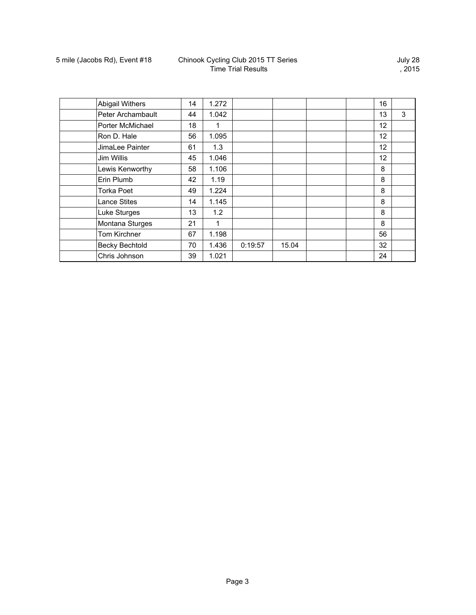July 28 , 2015

| <b>Abigail Withers</b> | 14 | 1.272 |         |       |  | 16 |   |
|------------------------|----|-------|---------|-------|--|----|---|
| Peter Archambault      | 44 | 1.042 |         |       |  | 13 | 3 |
| Porter McMichael       | 18 | 1     |         |       |  | 12 |   |
| Ron D. Hale            | 56 | 1.095 |         |       |  | 12 |   |
| JimaLee Painter        | 61 | 1.3   |         |       |  | 12 |   |
| Jim Willis             | 45 | 1.046 |         |       |  | 12 |   |
| Lewis Kenworthy        | 58 | 1.106 |         |       |  | 8  |   |
| Erin Plumb             | 42 | 1.19  |         |       |  | 8  |   |
| <b>Torka Poet</b>      | 49 | 1.224 |         |       |  | 8  |   |
| <b>Lance Stites</b>    | 14 | 1.145 |         |       |  | 8  |   |
| Luke Sturges           | 13 | 1.2   |         |       |  | 8  |   |
| Montana Sturges        | 21 | 1     |         |       |  | 8  |   |
| Tom Kirchner           | 67 | 1.198 |         |       |  | 56 |   |
| <b>Becky Bechtold</b>  | 70 | 1.436 | 0:19:57 | 15.04 |  | 32 |   |
| Chris Johnson          | 39 | 1.021 |         |       |  | 24 |   |